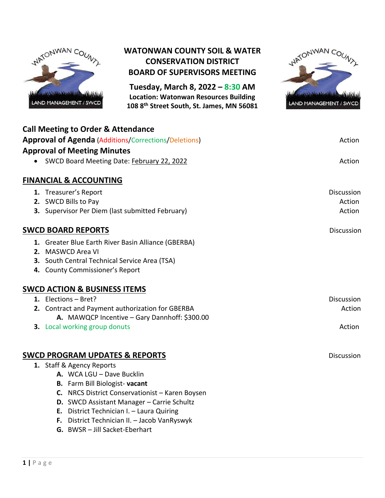

## **WATONWAN COUNTY SOIL & WATER CONSERVATION DISTRICT BOARD OF SUPERVISORS MEETING**

**Tuesday, March 8, 2022 – 8:30 AM Location: Watonwan Resources Building 108 8th Street South, St. James, MN 56081**



| <b>Call Meeting to Order &amp; Attendance</b><br><b>Approval of Agenda (Additions/Corrections/Deletions)</b><br><b>Approval of Meeting Minutes</b> | Action            |
|----------------------------------------------------------------------------------------------------------------------------------------------------|-------------------|
| • SWCD Board Meeting Date: February 22, 2022                                                                                                       | Action            |
| <b>FINANCIAL &amp; ACCOUNTING</b>                                                                                                                  |                   |
| 1. Treasurer's Report                                                                                                                              | <b>Discussion</b> |
| 2. SWCD Bills to Pay                                                                                                                               | Action            |
| 3. Supervisor Per Diem (last submitted February)                                                                                                   | Action            |
| <b>SWCD BOARD REPORTS</b>                                                                                                                          | Discussion        |
| 1. Greater Blue Earth River Basin Alliance (GBERBA)                                                                                                |                   |
| 2. MASWCD Area VI                                                                                                                                  |                   |
| 3. South Central Technical Service Area (TSA)                                                                                                      |                   |
| 4. County Commissioner's Report                                                                                                                    |                   |
| <b>SWCD ACTION &amp; BUSINESS ITEMS</b>                                                                                                            |                   |
| 1. Elections - Bret?                                                                                                                               | <b>Discussion</b> |
| 2. Contract and Payment authorization for GBERBA                                                                                                   | Action            |
| A. MAWQCP Incentive - Gary Dannhoff: \$300.00                                                                                                      |                   |
| 3. Local working group donuts                                                                                                                      | Action            |
| <b>SWCD PROGRAM UPDATES &amp; REPORTS</b>                                                                                                          | <b>Discussion</b> |
| 1. Staff & Agency Reports                                                                                                                          |                   |
| A. WCA LGU - Dave Bucklin                                                                                                                          |                   |
| <b>B.</b> Farm Bill Biologist-vacant                                                                                                               |                   |
| C. NRCS District Conservationist - Karen Boysen                                                                                                    |                   |
| D. SWCD Assistant Manager - Carrie Schultz                                                                                                         |                   |
| E. District Technician I. - Laura Quiring                                                                                                          |                   |

- **F.** District Technician II. Jacob VanRyswyk
- **G.** BWSR Jill Sacket-Eberhart